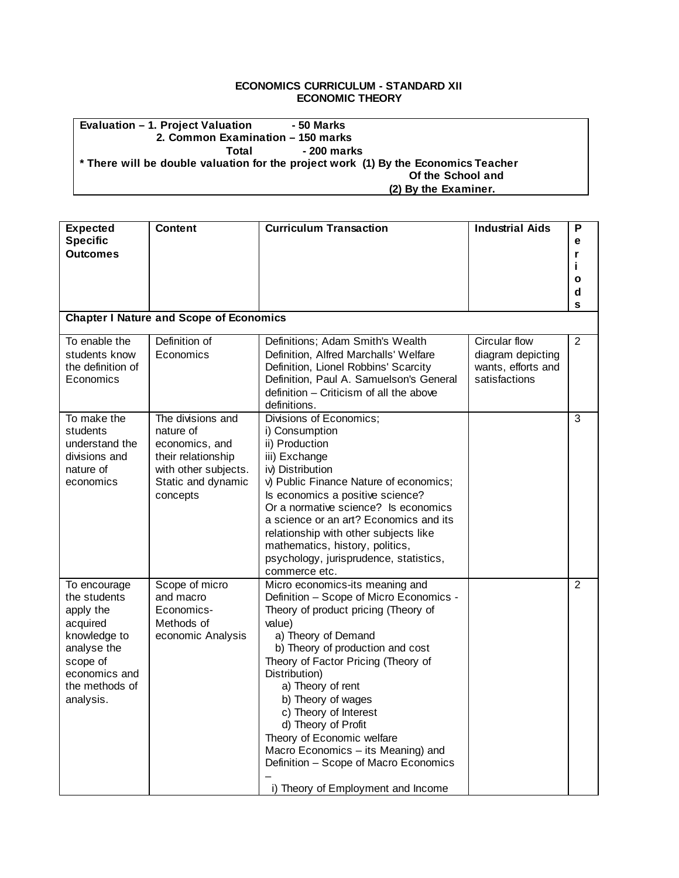## **ECONOMICS CURRICULUM - STANDARD XII ECONOMIC THEORY**

## **Evaluation – 1. Project Valuation - 50 Marks 2. Common Examination – 150 marks** Total - 200 marks **\* There will be double valuation for the project work (1) By the Economics Teacher Of the School and (2) By the Examiner.**

| <b>Expected</b><br><b>Specific</b><br><b>Outcomes</b>                                                                                            | <b>Content</b>                                                                                                                   | <b>Curriculum Transaction</b>                                                                                                                                                                                                                                                                                                                                                                                                                                                                 | <b>Industrial Aids</b>                                                    | P<br>е<br>r<br>j.<br>o<br>d<br>S |
|--------------------------------------------------------------------------------------------------------------------------------------------------|----------------------------------------------------------------------------------------------------------------------------------|-----------------------------------------------------------------------------------------------------------------------------------------------------------------------------------------------------------------------------------------------------------------------------------------------------------------------------------------------------------------------------------------------------------------------------------------------------------------------------------------------|---------------------------------------------------------------------------|----------------------------------|
|                                                                                                                                                  | <b>Chapter I Nature and Scope of Economics</b>                                                                                   |                                                                                                                                                                                                                                                                                                                                                                                                                                                                                               |                                                                           |                                  |
| To enable the<br>students know<br>the definition of<br>Economics                                                                                 | Definition of<br>Economics                                                                                                       | Definitions; Adam Smith's Wealth<br>Definition, Alfred Marchalls' Welfare<br>Definition, Lionel Robbins' Scarcity<br>Definition, Paul A. Samuelson's General<br>definition – Criticism of all the above<br>definitions.                                                                                                                                                                                                                                                                       | Circular flow<br>diagram depicting<br>wants, efforts and<br>satisfactions | $\overline{2}$                   |
| To make the<br>students<br>understand the<br>divisions and<br>nature of<br>economics                                                             | The divisions and<br>nature of<br>economics, and<br>their relationship<br>with other subjects.<br>Static and dynamic<br>concepts | Divisions of Economics;<br>i) Consumption<br>ii) Production<br>iii) Exchange<br>iv) Distribution<br>v) Public Finance Nature of economics;<br>Is economics a positive science?<br>Or a normative science? Is economics<br>a science or an art? Economics and its<br>relationship with other subjects like<br>mathematics, history, politics,<br>psychology, jurisprudence, statistics,<br>commerce etc.                                                                                       |                                                                           | 3                                |
| To encourage<br>the students<br>apply the<br>acquired<br>knowledge to<br>analyse the<br>scope of<br>economics and<br>the methods of<br>analysis. | Scope of micro<br>and macro<br>Economics-<br>Methods of<br>economic Analysis                                                     | Micro economics-its meaning and<br>Definition - Scope of Micro Economics -<br>Theory of product pricing (Theory of<br>value)<br>a) Theory of Demand<br>b) Theory of production and cost<br>Theory of Factor Pricing (Theory of<br>Distribution)<br>a) Theory of rent<br>b) Theory of wages<br>c) Theory of Interest<br>d) Theory of Profit<br>Theory of Economic welfare<br>Macro Economics - its Meaning) and<br>Definition - Scope of Macro Economics<br>i) Theory of Employment and Income |                                                                           | $\overline{2}$                   |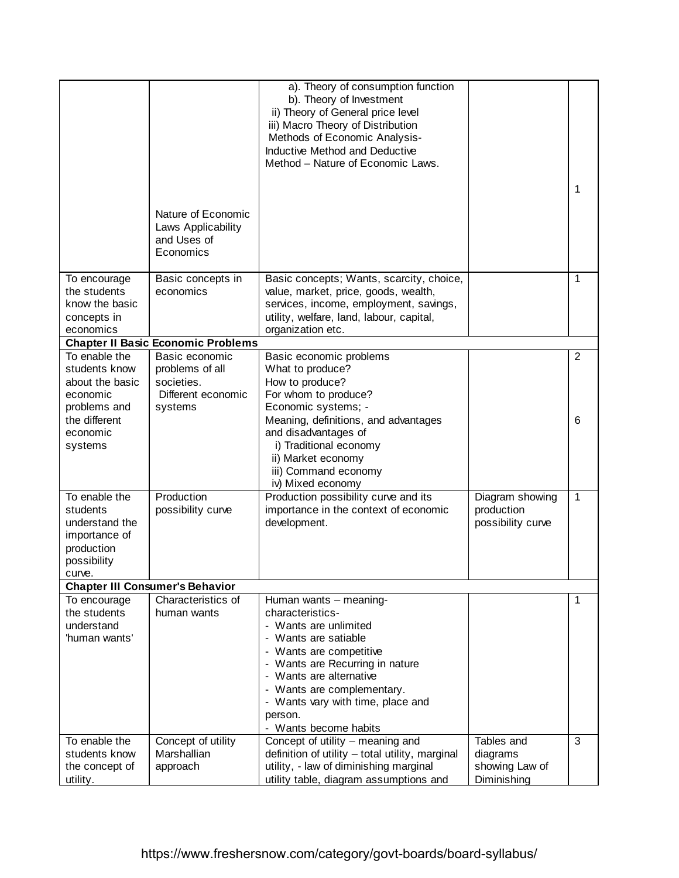|                                                                                                     |                                                                      | a). Theory of consumption function<br>b). Theory of Investment<br>ii) Theory of General price level<br>iii) Macro Theory of Distribution<br>Methods of Economic Analysis-<br>Inductive Method and Deductive<br>Method - Nature of Economic Laws.                                            |                                                         | 1              |
|-----------------------------------------------------------------------------------------------------|----------------------------------------------------------------------|---------------------------------------------------------------------------------------------------------------------------------------------------------------------------------------------------------------------------------------------------------------------------------------------|---------------------------------------------------------|----------------|
|                                                                                                     | Nature of Economic<br>Laws Applicability<br>and Uses of<br>Economics |                                                                                                                                                                                                                                                                                             |                                                         |                |
| To encourage<br>the students<br>know the basic<br>concepts in<br>economics                          | Basic concepts in<br>economics                                       | Basic concepts; Wants, scarcity, choice,<br>value, market, price, goods, wealth,<br>services, income, employment, savings,<br>utility, welfare, land, labour, capital,<br>organization etc.                                                                                                 |                                                         | 1              |
|                                                                                                     | <b>Chapter II Basic Economic Problems</b>                            |                                                                                                                                                                                                                                                                                             |                                                         |                |
| To enable the                                                                                       | Basic economic                                                       | Basic economic problems                                                                                                                                                                                                                                                                     |                                                         | $\overline{2}$ |
| students know<br>about the basic<br>economic<br>problems and                                        | problems of all<br>societies.<br>Different economic<br>systems       | What to produce?<br>How to produce?<br>For whom to produce?<br>Economic systems; -                                                                                                                                                                                                          |                                                         |                |
| the different<br>economic<br>systems                                                                |                                                                      | Meaning, definitions, and advantages<br>and disadvantages of<br>i) Traditional economy<br>ii) Market economy<br>iii) Command economy<br>iv) Mixed economy                                                                                                                                   |                                                         | 6              |
| To enable the<br>students<br>understand the<br>importance of<br>production<br>possibility<br>curve. | Production<br>possibility curve                                      | Production possibility curve and its<br>importance in the context of economic<br>development.                                                                                                                                                                                               | Diagram showing<br>production<br>possibility curve      | $\mathbf{1}$   |
|                                                                                                     | <b>Chapter III Consumer's Behavior</b>                               |                                                                                                                                                                                                                                                                                             |                                                         |                |
| To encourage<br>the students<br>understand<br>'human wants'                                         | Characteristics of<br>human wants                                    | Human wants - meaning-<br>characteristics-<br>- Wants are unlimited<br>- Wants are satiable<br>- Wants are competitive<br>- Wants are Recurring in nature<br>- Wants are alternative<br>- Wants are complementary.<br>- Wants vary with time, place and<br>person.<br>- Wants become habits |                                                         | 1              |
| To enable the<br>students know<br>the concept of<br>utility.                                        | Concept of utility<br>Marshallian<br>approach                        | Concept of utility – meaning and<br>definition of utility - total utility, marginal<br>utility, - law of diminishing marginal<br>utility table, diagram assumptions and                                                                                                                     | Tables and<br>diagrams<br>showing Law of<br>Diminishing | 3              |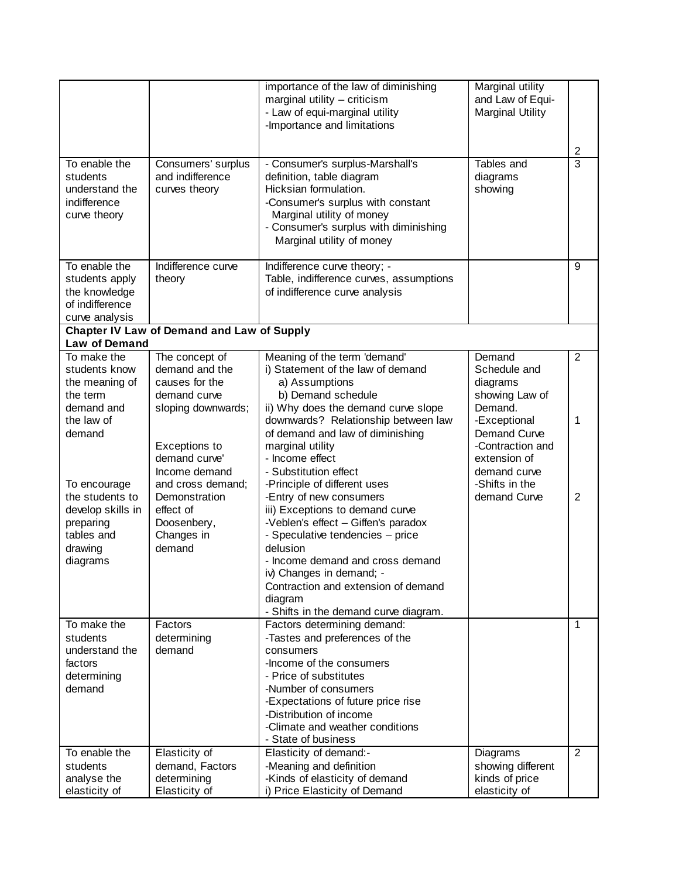|                                                                                                        |                                                                                        | importance of the law of diminishing<br>marginal utility - criticism<br>- Law of equi-marginal utility<br>-Importance and limitations                                                                                                                                                                                                        | Marginal utility<br>and Law of Equi-<br><b>Marginal Utility</b>  |                |
|--------------------------------------------------------------------------------------------------------|----------------------------------------------------------------------------------------|----------------------------------------------------------------------------------------------------------------------------------------------------------------------------------------------------------------------------------------------------------------------------------------------------------------------------------------------|------------------------------------------------------------------|----------------|
|                                                                                                        |                                                                                        |                                                                                                                                                                                                                                                                                                                                              |                                                                  | 2              |
| To enable the<br>students<br>understand the<br>indifference<br>curve theory                            | Consumers' surplus<br>and indifference<br>curves theory                                | - Consumer's surplus-Marshall's<br>definition, table diagram<br>Hicksian formulation.<br>-Consumer's surplus with constant<br>Marginal utility of money<br>- Consumer's surplus with diminishing<br>Marginal utility of money                                                                                                                | Tables and<br>diagrams<br>showing                                | $\overline{3}$ |
| To enable the<br>students apply<br>the knowledge<br>of indifference<br>curve analysis                  | Indifference curve<br>theory                                                           | Indifference curve theory; -<br>Table, indifference curves, assumptions<br>of indifference curve analysis                                                                                                                                                                                                                                    |                                                                  | 9              |
|                                                                                                        | <b>Chapter IV Law of Demand and Law of Supply</b>                                      |                                                                                                                                                                                                                                                                                                                                              |                                                                  |                |
| Law of Demand<br>To make the                                                                           | The concept of                                                                         | Meaning of the term 'demand'                                                                                                                                                                                                                                                                                                                 | Demand                                                           | $\overline{2}$ |
| students know<br>the meaning of<br>the term                                                            | demand and the<br>causes for the<br>demand curve                                       | i) Statement of the law of demand<br>a) Assumptions<br>b) Demand schedule                                                                                                                                                                                                                                                                    | Schedule and<br>diagrams<br>showing Law of                       |                |
| demand and<br>the law of                                                                               | sloping downwards;                                                                     | ii) Why does the demand curve slope<br>downwards? Relationship between law                                                                                                                                                                                                                                                                   | Demand.<br>-Exceptional                                          | 1              |
| demand                                                                                                 | Exceptions to<br>demand curve'<br>Income demand                                        | of demand and law of diminishing<br>marginal utility<br>- Income effect<br>- Substitution effect                                                                                                                                                                                                                                             | Demand Curve<br>-Contraction and<br>extension of<br>demand curve |                |
| To encourage<br>the students to<br>develop skills in<br>preparing<br>tables and<br>drawing<br>diagrams | and cross demand;<br>Demonstration<br>effect of<br>Doosenbery,<br>Changes in<br>demand | -Principle of different uses<br>-Entry of new consumers<br>iii) Exceptions to demand curve<br>-Veblen's effect - Giffen's paradox<br>- Speculative tendencies - price<br>delusion<br>- Income demand and cross demand<br>iv) Changes in demand; -<br>Contraction and extension of demand<br>diagram<br>- Shifts in the demand curve diagram. | -Shifts in the<br>demand Curve                                   | 2              |
| To make the<br>students<br>understand the<br>factors<br>determining<br>demand                          | Factors<br>determining<br>demand                                                       | Factors determining demand:<br>-Tastes and preferences of the<br>consumers<br>-Income of the consumers<br>- Price of substitutes<br>-Number of consumers<br>-Expectations of future price rise<br>-Distribution of income<br>-Climate and weather conditions<br>- State of business                                                          |                                                                  | $\mathbf{1}$   |
| To enable the                                                                                          | Elasticity of                                                                          | Elasticity of demand:-                                                                                                                                                                                                                                                                                                                       | Diagrams                                                         | $\overline{2}$ |
| students<br>analyse the                                                                                | demand, Factors<br>determining                                                         | -Meaning and definition<br>-Kinds of elasticity of demand                                                                                                                                                                                                                                                                                    | showing different<br>kinds of price                              |                |
| elasticity of                                                                                          | Elasticity of                                                                          | i) Price Elasticity of Demand                                                                                                                                                                                                                                                                                                                | elasticity of                                                    |                |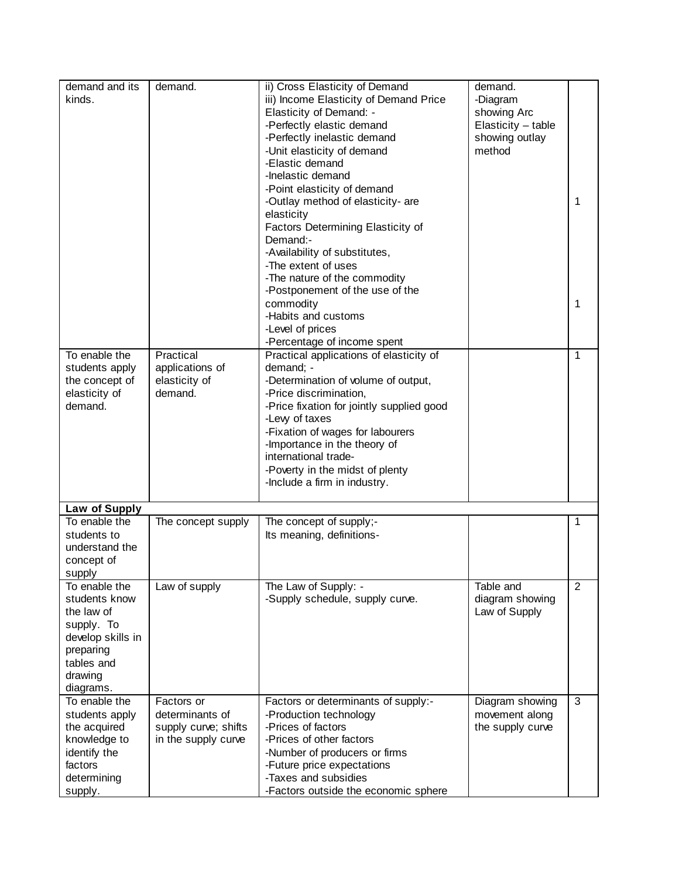| demand and its<br>kinds.                                                                                                           | demand.                                                                      | ii) Cross Elasticity of Demand<br>iii) Income Elasticity of Demand Price<br>Elasticity of Demand: -<br>-Perfectly elastic demand<br>-Perfectly inelastic demand<br>-Unit elasticity of demand<br>-Elastic demand<br>-Inelastic demand<br>-Point elasticity of demand<br>-Outlay method of elasticity- are<br>elasticity<br>Factors Determining Elasticity of<br>Demand:-<br>-Availability of substitutes,<br>-The extent of uses<br>-The nature of the commodity<br>-Postponement of the use of the | demand.<br>-Diagram<br>showing Arc<br>Elasticity - table<br>showing outlay<br>method | 1              |
|------------------------------------------------------------------------------------------------------------------------------------|------------------------------------------------------------------------------|-----------------------------------------------------------------------------------------------------------------------------------------------------------------------------------------------------------------------------------------------------------------------------------------------------------------------------------------------------------------------------------------------------------------------------------------------------------------------------------------------------|--------------------------------------------------------------------------------------|----------------|
|                                                                                                                                    |                                                                              | commodity<br>-Habits and customs<br>-Level of prices<br>-Percentage of income spent                                                                                                                                                                                                                                                                                                                                                                                                                 |                                                                                      | 1              |
| To enable the<br>students apply<br>the concept of<br>elasticity of<br>demand.                                                      | Practical<br>applications of<br>elasticity of<br>demand.                     | Practical applications of elasticity of<br>demand; -<br>-Determination of volume of output,<br>-Price discrimination,<br>-Price fixation for jointly supplied good<br>-Levy of taxes<br>-Fixation of wages for labourers<br>-Importance in the theory of<br>international trade-<br>-Poverty in the midst of plenty<br>-Include a firm in industry.                                                                                                                                                 |                                                                                      | 1              |
| Law of Supply                                                                                                                      |                                                                              |                                                                                                                                                                                                                                                                                                                                                                                                                                                                                                     |                                                                                      |                |
| To enable the<br>students to<br>understand the<br>concept of<br>supply                                                             | The concept supply                                                           | The concept of supply;-<br>Its meaning, definitions-                                                                                                                                                                                                                                                                                                                                                                                                                                                |                                                                                      | 1              |
| To enable the<br>students know<br>the law of<br>supply. To<br>develop skills in<br>preparing<br>tables and<br>drawing<br>diagrams. | Law of supply                                                                | The Law of Supply: -<br>-Supply schedule, supply curve.                                                                                                                                                                                                                                                                                                                                                                                                                                             | Table and<br>diagram showing<br>Law of Supply                                        | $\overline{2}$ |
| To enable the<br>students apply<br>the acquired<br>knowledge to<br>identify the<br>factors<br>determining<br>supply.               | Factors or<br>determinants of<br>supply curve; shifts<br>in the supply curve | Factors or determinants of supply:-<br>-Production technology<br>-Prices of factors<br>-Prices of other factors<br>-Number of producers or firms<br>-Future price expectations<br>-Taxes and subsidies<br>-Factors outside the economic sphere                                                                                                                                                                                                                                                      | Diagram showing<br>movement along<br>the supply curve                                | 3              |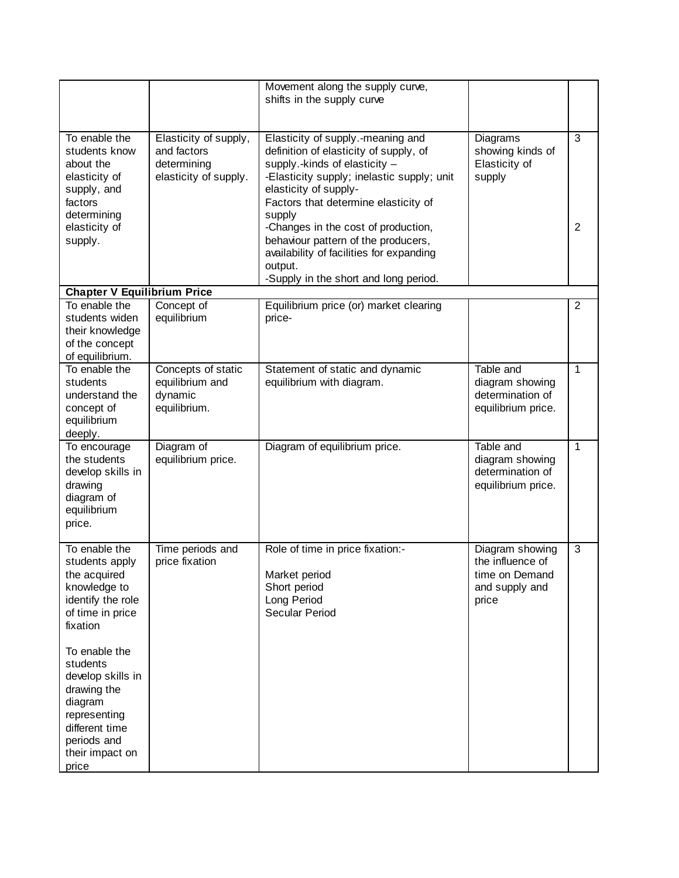|                                                                                                                                                                                                                                                                               |                                                                              | Movement along the supply curve,<br>shifts in the supply curve                                                                                                                                                                                                                                                                                                                                                      |                                                                                  |                |
|-------------------------------------------------------------------------------------------------------------------------------------------------------------------------------------------------------------------------------------------------------------------------------|------------------------------------------------------------------------------|---------------------------------------------------------------------------------------------------------------------------------------------------------------------------------------------------------------------------------------------------------------------------------------------------------------------------------------------------------------------------------------------------------------------|----------------------------------------------------------------------------------|----------------|
| To enable the<br>students know<br>about the<br>elasticity of<br>supply, and<br>factors<br>determining<br>elasticity of<br>supply.                                                                                                                                             | Elasticity of supply,<br>and factors<br>determining<br>elasticity of supply. | Elasticity of supply.-meaning and<br>definition of elasticity of supply, of<br>supply.-kinds of elasticity -<br>-Elasticity supply; inelastic supply; unit<br>elasticity of supply-<br>Factors that determine elasticity of<br>supply<br>-Changes in the cost of production,<br>behaviour pattern of the producers,<br>availability of facilities for expanding<br>output.<br>-Supply in the short and long period. | Diagrams<br>showing kinds of<br>Elasticity of<br>supply                          | 3<br>2         |
| <b>Chapter V Equilibrium Price</b>                                                                                                                                                                                                                                            |                                                                              |                                                                                                                                                                                                                                                                                                                                                                                                                     |                                                                                  |                |
| To enable the<br>students widen<br>their knowledge<br>of the concept<br>of equilibrium.                                                                                                                                                                                       | Concept of<br>equilibrium                                                    | Equilibrium price (or) market clearing<br>price-                                                                                                                                                                                                                                                                                                                                                                    |                                                                                  | $\overline{2}$ |
| To enable the<br>students<br>understand the<br>concept of<br>equilibrium<br>deeply.                                                                                                                                                                                           | Concepts of static<br>equilibrium and<br>dynamic<br>equilibrium.             | Statement of static and dynamic<br>equilibrium with diagram.                                                                                                                                                                                                                                                                                                                                                        | Table and<br>diagram showing<br>determination of<br>equilibrium price.           | $\mathbf{1}$   |
| To encourage<br>the students<br>develop skills in<br>drawing<br>diagram of<br>equilibrium<br>price.                                                                                                                                                                           | Diagram of<br>equilibrium price.                                             | Diagram of equilibrium price.                                                                                                                                                                                                                                                                                                                                                                                       | Table and<br>diagram showing<br>determination of<br>equilibrium price.           | $\mathbf{1}$   |
| To enable the<br>students apply<br>the acquired<br>knowledge to<br>identify the role<br>of time in price<br>fixation<br>To enable the<br>students<br>develop skills in<br>drawing the<br>diagram<br>representing<br>different time<br>periods and<br>their impact on<br>price | Time periods and<br>price fixation                                           | Role of time in price fixation:-<br>Market period<br>Short period<br>Long Period<br>Secular Period                                                                                                                                                                                                                                                                                                                  | Diagram showing<br>the influence of<br>time on Demand<br>and supply and<br>price | 3              |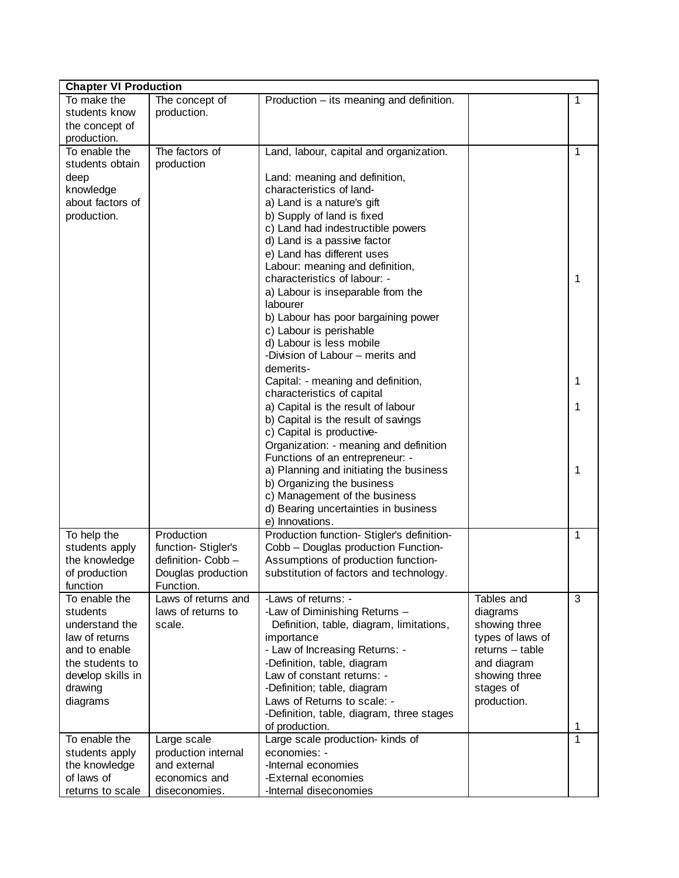| <b>Chapter VI Production</b>    |                                           |                                                                           |                           |   |
|---------------------------------|-------------------------------------------|---------------------------------------------------------------------------|---------------------------|---|
| To make the                     | The concept of                            | Production – its meaning and definition.                                  |                           | 1 |
| students know                   | production.                               |                                                                           |                           |   |
| the concept of                  |                                           |                                                                           |                           |   |
| production.                     |                                           |                                                                           |                           |   |
| To enable the                   | The factors of                            | Land, labour, capital and organization.                                   |                           | 1 |
| students obtain                 | production                                |                                                                           |                           |   |
| deep<br>knowledge               |                                           | Land: meaning and definition,<br>characteristics of land-                 |                           |   |
| about factors of                |                                           | a) Land is a nature's gift                                                |                           |   |
| production.                     |                                           | b) Supply of land is fixed                                                |                           |   |
|                                 |                                           | c) Land had indestructible powers                                         |                           |   |
|                                 |                                           | d) Land is a passive factor                                               |                           |   |
|                                 |                                           | e) Land has different uses                                                |                           |   |
|                                 |                                           | Labour: meaning and definition,                                           |                           |   |
|                                 |                                           | characteristics of labour: -                                              |                           | 1 |
|                                 |                                           | a) Labour is inseparable from the                                         |                           |   |
|                                 |                                           | labourer                                                                  |                           |   |
|                                 |                                           | b) Labour has poor bargaining power                                       |                           |   |
|                                 |                                           | c) Labour is perishable<br>d) Labour is less mobile                       |                           |   |
|                                 |                                           | -Division of Labour – merits and                                          |                           |   |
|                                 |                                           | demerits-                                                                 |                           |   |
|                                 |                                           | Capital: - meaning and definition,                                        |                           | 1 |
|                                 |                                           | characteristics of capital                                                |                           |   |
|                                 |                                           | a) Capital is the result of labour                                        |                           | 1 |
|                                 |                                           | b) Capital is the result of savings                                       |                           |   |
|                                 |                                           | c) Capital is productive-                                                 |                           |   |
|                                 |                                           | Organization: - meaning and definition                                    |                           |   |
|                                 |                                           | Functions of an entrepreneur: -                                           |                           |   |
|                                 |                                           | a) Planning and initiating the business                                   |                           | 1 |
|                                 |                                           | b) Organizing the business<br>c) Management of the business               |                           |   |
|                                 |                                           | d) Bearing uncertainties in business                                      |                           |   |
|                                 |                                           | e) Innovations.                                                           |                           |   |
| To help the                     | Production                                | Production function- Stigler's definition-                                |                           | 1 |
| students apply                  | function-Stigler's                        | Cobb - Douglas production Function-                                       |                           |   |
| the knowledge                   | definition- Cobb-                         | Assumptions of production function-                                       |                           |   |
| of production                   | Douglas production                        | substitution of factors and technology.                                   |                           |   |
| function                        | Function.                                 |                                                                           |                           |   |
| To enable the<br>students       | Laws of returns and<br>laws of returns to | -Laws of returns: -                                                       | Tables and                | 3 |
| understand the                  | scale.                                    | -Law of Diminishing Returns -<br>Definition, table, diagram, limitations, | diagrams<br>showing three |   |
| law of returns                  |                                           | importance                                                                | types of laws of          |   |
| and to enable                   |                                           | - Law of Increasing Returns: -                                            | $returns - table$         |   |
| the students to                 |                                           | -Definition, table, diagram                                               | and diagram               |   |
| develop skills in               |                                           | Law of constant returns: -                                                | showing three             |   |
| drawing                         |                                           | -Definition; table, diagram                                               | stages of                 |   |
| diagrams                        |                                           | Laws of Returns to scale: -                                               | production.               |   |
|                                 |                                           | -Definition, table, diagram, three stages                                 |                           |   |
|                                 |                                           | of production.                                                            |                           | 1 |
| To enable the                   | Large scale                               | Large scale production- kinds of                                          |                           | 1 |
| students apply<br>the knowledge | production internal<br>and external       | economies: -<br>-Internal economies                                       |                           |   |
| of laws of                      | economics and                             | -External economies                                                       |                           |   |
| returns to scale                | diseconomies.                             | -Internal diseconomies                                                    |                           |   |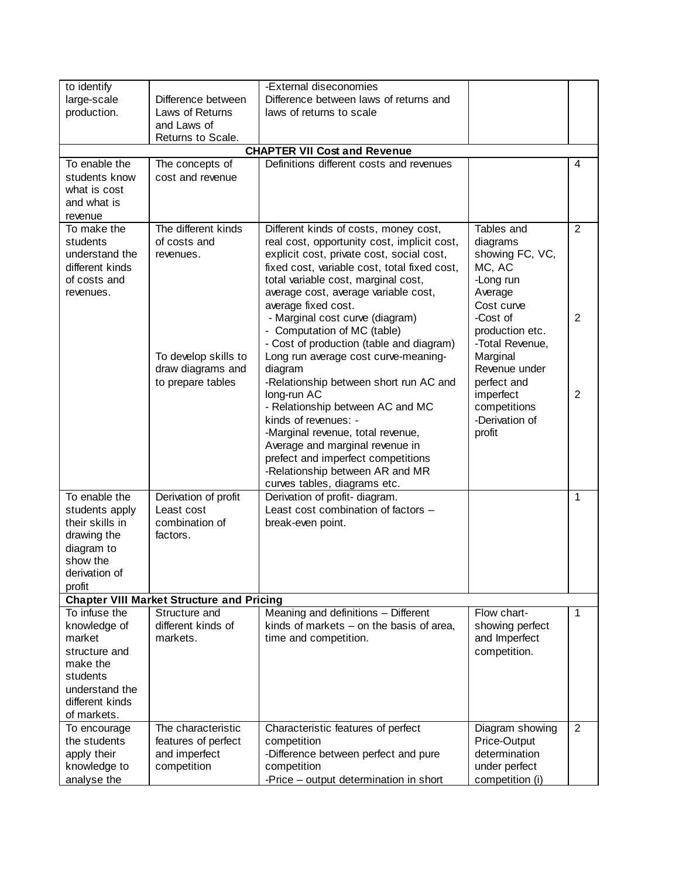| to identify     |                                                  | -External diseconomies                            |                           |                |
|-----------------|--------------------------------------------------|---------------------------------------------------|---------------------------|----------------|
| large-scale     | Difference between                               | Difference between laws of returns and            |                           |                |
| production.     | Laws of Returns                                  | laws of returns to scale                          |                           |                |
|                 | and Laws of                                      |                                                   |                           |                |
|                 | Returns to Scale.                                |                                                   |                           |                |
|                 |                                                  | <b>CHAPTER VII Cost and Revenue</b>               |                           |                |
| To enable the   | The concepts of                                  | Definitions different costs and revenues          |                           | 4              |
| students know   | cost and revenue                                 |                                                   |                           |                |
| what is cost    |                                                  |                                                   |                           |                |
| and what is     |                                                  |                                                   |                           |                |
| revenue         |                                                  |                                                   |                           |                |
| To make the     | The different kinds                              | Different kinds of costs, money cost,             | Tables and                | $\overline{2}$ |
| students        | of costs and                                     | real cost, opportunity cost, implicit cost,       | diagrams                  |                |
| understand the  | revenues.                                        | explicit cost, private cost, social cost,         | showing FC, VC,           |                |
| different kinds |                                                  | fixed cost, variable cost, total fixed cost,      | MC, AC                    |                |
| of costs and    |                                                  | total variable cost, marginal cost,               | -Long run                 |                |
| revenues.       |                                                  | average cost, average variable cost,              | Average                   |                |
|                 |                                                  | average fixed cost.                               | Cost curve                |                |
|                 |                                                  | - Marginal cost curve (diagram)                   | -Cost of                  | $\overline{2}$ |
|                 |                                                  | - Computation of MC (table)                       | production etc.           |                |
|                 |                                                  | - Cost of production (table and diagram)          | -Total Revenue,           |                |
|                 | To develop skills to<br>draw diagrams and        | Long run average cost curve-meaning-              | Marginal<br>Revenue under |                |
|                 | to prepare tables                                | diagram<br>-Relationship between short run AC and | perfect and               |                |
|                 |                                                  | long-run AC                                       | imperfect                 | $\overline{2}$ |
|                 |                                                  | - Relationship between AC and MC                  | competitions              |                |
|                 |                                                  | kinds of revenues: -                              | -Derivation of            |                |
|                 |                                                  | -Marginal revenue, total revenue,                 | profit                    |                |
|                 |                                                  | Average and marginal revenue in                   |                           |                |
|                 |                                                  | prefect and imperfect competitions                |                           |                |
|                 |                                                  | -Relationship between AR and MR                   |                           |                |
|                 |                                                  | curves tables, diagrams etc.                      |                           |                |
| To enable the   | Derivation of profit                             | Derivation of profit-diagram.                     |                           | 1              |
| students apply  | Least cost                                       | Least cost combination of factors -               |                           |                |
| their skills in | combination of                                   | break-even point.                                 |                           |                |
| drawing the     | factors.                                         |                                                   |                           |                |
| diagram to      |                                                  |                                                   |                           |                |
| show the        |                                                  |                                                   |                           |                |
| derivation of   |                                                  |                                                   |                           |                |
| profit          | <b>Chapter VIII Market Structure and Pricing</b> |                                                   |                           |                |
| To infuse the   | Structure and                                    | Meaning and definitions - Different               | Flow chart-               | 1              |
| knowledge of    | different kinds of                               | kinds of markets $-$ on the basis of area,        | showing perfect           |                |
| market          | markets.                                         | time and competition.                             | and Imperfect             |                |
| structure and   |                                                  |                                                   | competition.              |                |
| make the        |                                                  |                                                   |                           |                |
| students        |                                                  |                                                   |                           |                |
| understand the  |                                                  |                                                   |                           |                |
| different kinds |                                                  |                                                   |                           |                |
| of markets.     |                                                  |                                                   |                           |                |
| To encourage    | The characteristic                               | Characteristic features of perfect                | Diagram showing           | 2              |
| the students    | features of perfect                              | competition                                       | Price-Output              |                |
| apply their     | and imperfect                                    | -Difference between perfect and pure              | determination             |                |
| knowledge to    | competition                                      | competition                                       | under perfect             |                |
| analyse the     |                                                  | -Price - output determination in short            | competition (i)           |                |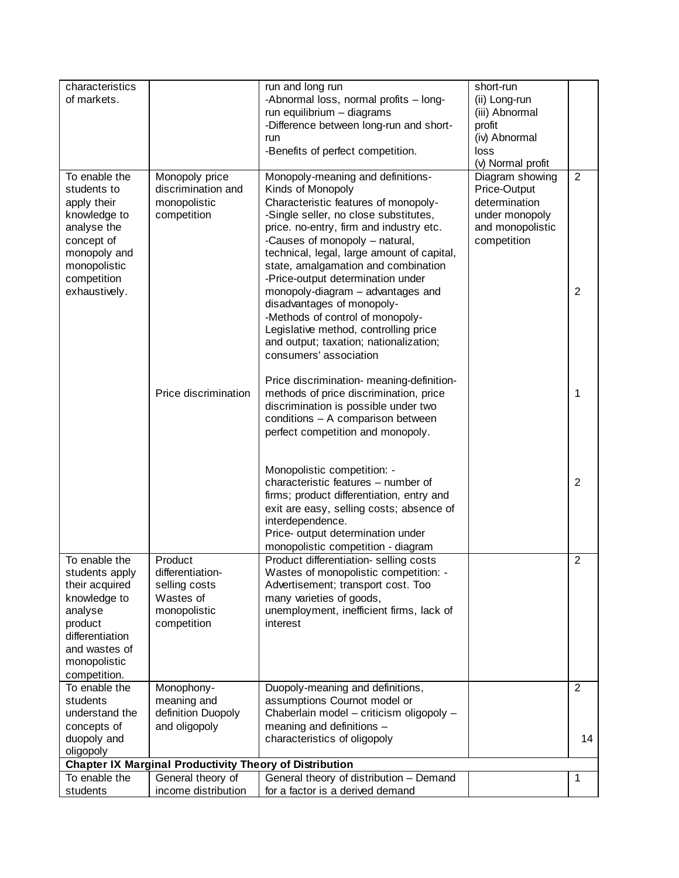| of markets.<br>-Abnormal loss, normal profits - long-<br>(ii) Long-run<br>run equilibrium - diagrams<br>(iii) Abnormal<br>-Difference between long-run and short-<br>profit<br>(iv) Abnormal<br>run<br>-Benefits of perfect competition.<br>loss<br>(v) Normal profit<br>To enable the<br>Monopoly-meaning and definitions-<br>Diagram showing<br>Monopoly price<br>2<br>discrimination and<br>Kinds of Monopoly<br>Price-Output<br>students to<br>determination<br>monopolistic<br>Characteristic features of monopoly-<br>apply their<br>competition<br>-Single seller, no close substitutes,<br>under monopoly<br>knowledge to<br>analyse the<br>price. no-entry, firm and industry etc.<br>and monopolistic<br>concept of<br>-Causes of monopoly - natural,<br>competition<br>technical, legal, large amount of capital,<br>monopoly and<br>state, amalgamation and combination<br>monopolistic<br>competition<br>-Price-output determination under<br>$\overline{2}$<br>exhaustively.<br>monopoly-diagram - advantages and<br>disadvantages of monopoly-<br>-Methods of control of monopoly-<br>Legislative method, controlling price<br>and output; taxation; nationalization;<br>consumers' association<br>Price discrimination- meaning-definition-<br>Price discrimination<br>methods of price discrimination, price<br>1<br>discrimination is possible under two<br>conditions - A comparison between<br>perfect competition and monopoly.<br>Monopolistic competition: -<br>characteristic features - number of<br>$\overline{2}$<br>firms; product differentiation, entry and<br>exit are easy, selling costs; absence of<br>interdependence.<br>Price- output determination under<br>monopolistic competition - diagram<br>To enable the<br>Product differentiation-selling costs<br>Product<br>$\overline{2}$<br>differentiation-<br>Wastes of monopolistic competition: -<br>students apply<br>their acquired<br>selling costs<br>Advertisement; transport cost. Too<br>Wastes of<br>knowledge to<br>many varieties of goods,<br>monopolistic<br>unemployment, inefficient firms, lack of<br>analyse<br>interest<br>product<br>competition<br>differentiation<br>and wastes of<br>monopolistic<br>competition.<br>To enable the<br>Duopoly-meaning and definitions,<br>Monophony-<br>2<br>assumptions Cournot model or<br>students<br>meaning and<br>definition Duopoly<br>Chaberlain model - criticism oligopoly -<br>understand the<br>meaning and definitions -<br>concepts of<br>and oligopoly<br>duopoly and<br>characteristics of oligopoly<br>14<br>oligopoly<br>Chapter IX Marginal Productivity Theory of Distribution<br>To enable the<br>General theory of distribution - Demand<br>General theory of<br>1<br>income distribution<br>for a factor is a derived demand<br>students | characteristics | run and long run | short-run |  |
|-------------------------------------------------------------------------------------------------------------------------------------------------------------------------------------------------------------------------------------------------------------------------------------------------------------------------------------------------------------------------------------------------------------------------------------------------------------------------------------------------------------------------------------------------------------------------------------------------------------------------------------------------------------------------------------------------------------------------------------------------------------------------------------------------------------------------------------------------------------------------------------------------------------------------------------------------------------------------------------------------------------------------------------------------------------------------------------------------------------------------------------------------------------------------------------------------------------------------------------------------------------------------------------------------------------------------------------------------------------------------------------------------------------------------------------------------------------------------------------------------------------------------------------------------------------------------------------------------------------------------------------------------------------------------------------------------------------------------------------------------------------------------------------------------------------------------------------------------------------------------------------------------------------------------------------------------------------------------------------------------------------------------------------------------------------------------------------------------------------------------------------------------------------------------------------------------------------------------------------------------------------------------------------------------------------------------------------------------------------------------------------------------------------------------------------------------------------------------------------------------------------------------------------------------------------------------------------------------------------------------------------------------------------------------------------------------------------------------------------------------------------------------------------------------------------|-----------------|------------------|-----------|--|
|                                                                                                                                                                                                                                                                                                                                                                                                                                                                                                                                                                                                                                                                                                                                                                                                                                                                                                                                                                                                                                                                                                                                                                                                                                                                                                                                                                                                                                                                                                                                                                                                                                                                                                                                                                                                                                                                                                                                                                                                                                                                                                                                                                                                                                                                                                                                                                                                                                                                                                                                                                                                                                                                                                                                                                                                             |                 |                  |           |  |
|                                                                                                                                                                                                                                                                                                                                                                                                                                                                                                                                                                                                                                                                                                                                                                                                                                                                                                                                                                                                                                                                                                                                                                                                                                                                                                                                                                                                                                                                                                                                                                                                                                                                                                                                                                                                                                                                                                                                                                                                                                                                                                                                                                                                                                                                                                                                                                                                                                                                                                                                                                                                                                                                                                                                                                                                             |                 |                  |           |  |
|                                                                                                                                                                                                                                                                                                                                                                                                                                                                                                                                                                                                                                                                                                                                                                                                                                                                                                                                                                                                                                                                                                                                                                                                                                                                                                                                                                                                                                                                                                                                                                                                                                                                                                                                                                                                                                                                                                                                                                                                                                                                                                                                                                                                                                                                                                                                                                                                                                                                                                                                                                                                                                                                                                                                                                                                             |                 |                  |           |  |
|                                                                                                                                                                                                                                                                                                                                                                                                                                                                                                                                                                                                                                                                                                                                                                                                                                                                                                                                                                                                                                                                                                                                                                                                                                                                                                                                                                                                                                                                                                                                                                                                                                                                                                                                                                                                                                                                                                                                                                                                                                                                                                                                                                                                                                                                                                                                                                                                                                                                                                                                                                                                                                                                                                                                                                                                             |                 |                  |           |  |
|                                                                                                                                                                                                                                                                                                                                                                                                                                                                                                                                                                                                                                                                                                                                                                                                                                                                                                                                                                                                                                                                                                                                                                                                                                                                                                                                                                                                                                                                                                                                                                                                                                                                                                                                                                                                                                                                                                                                                                                                                                                                                                                                                                                                                                                                                                                                                                                                                                                                                                                                                                                                                                                                                                                                                                                                             |                 |                  |           |  |
|                                                                                                                                                                                                                                                                                                                                                                                                                                                                                                                                                                                                                                                                                                                                                                                                                                                                                                                                                                                                                                                                                                                                                                                                                                                                                                                                                                                                                                                                                                                                                                                                                                                                                                                                                                                                                                                                                                                                                                                                                                                                                                                                                                                                                                                                                                                                                                                                                                                                                                                                                                                                                                                                                                                                                                                                             |                 |                  |           |  |
|                                                                                                                                                                                                                                                                                                                                                                                                                                                                                                                                                                                                                                                                                                                                                                                                                                                                                                                                                                                                                                                                                                                                                                                                                                                                                                                                                                                                                                                                                                                                                                                                                                                                                                                                                                                                                                                                                                                                                                                                                                                                                                                                                                                                                                                                                                                                                                                                                                                                                                                                                                                                                                                                                                                                                                                                             |                 |                  |           |  |
|                                                                                                                                                                                                                                                                                                                                                                                                                                                                                                                                                                                                                                                                                                                                                                                                                                                                                                                                                                                                                                                                                                                                                                                                                                                                                                                                                                                                                                                                                                                                                                                                                                                                                                                                                                                                                                                                                                                                                                                                                                                                                                                                                                                                                                                                                                                                                                                                                                                                                                                                                                                                                                                                                                                                                                                                             |                 |                  |           |  |
|                                                                                                                                                                                                                                                                                                                                                                                                                                                                                                                                                                                                                                                                                                                                                                                                                                                                                                                                                                                                                                                                                                                                                                                                                                                                                                                                                                                                                                                                                                                                                                                                                                                                                                                                                                                                                                                                                                                                                                                                                                                                                                                                                                                                                                                                                                                                                                                                                                                                                                                                                                                                                                                                                                                                                                                                             |                 |                  |           |  |
|                                                                                                                                                                                                                                                                                                                                                                                                                                                                                                                                                                                                                                                                                                                                                                                                                                                                                                                                                                                                                                                                                                                                                                                                                                                                                                                                                                                                                                                                                                                                                                                                                                                                                                                                                                                                                                                                                                                                                                                                                                                                                                                                                                                                                                                                                                                                                                                                                                                                                                                                                                                                                                                                                                                                                                                                             |                 |                  |           |  |
|                                                                                                                                                                                                                                                                                                                                                                                                                                                                                                                                                                                                                                                                                                                                                                                                                                                                                                                                                                                                                                                                                                                                                                                                                                                                                                                                                                                                                                                                                                                                                                                                                                                                                                                                                                                                                                                                                                                                                                                                                                                                                                                                                                                                                                                                                                                                                                                                                                                                                                                                                                                                                                                                                                                                                                                                             |                 |                  |           |  |
|                                                                                                                                                                                                                                                                                                                                                                                                                                                                                                                                                                                                                                                                                                                                                                                                                                                                                                                                                                                                                                                                                                                                                                                                                                                                                                                                                                                                                                                                                                                                                                                                                                                                                                                                                                                                                                                                                                                                                                                                                                                                                                                                                                                                                                                                                                                                                                                                                                                                                                                                                                                                                                                                                                                                                                                                             |                 |                  |           |  |
|                                                                                                                                                                                                                                                                                                                                                                                                                                                                                                                                                                                                                                                                                                                                                                                                                                                                                                                                                                                                                                                                                                                                                                                                                                                                                                                                                                                                                                                                                                                                                                                                                                                                                                                                                                                                                                                                                                                                                                                                                                                                                                                                                                                                                                                                                                                                                                                                                                                                                                                                                                                                                                                                                                                                                                                                             |                 |                  |           |  |
|                                                                                                                                                                                                                                                                                                                                                                                                                                                                                                                                                                                                                                                                                                                                                                                                                                                                                                                                                                                                                                                                                                                                                                                                                                                                                                                                                                                                                                                                                                                                                                                                                                                                                                                                                                                                                                                                                                                                                                                                                                                                                                                                                                                                                                                                                                                                                                                                                                                                                                                                                                                                                                                                                                                                                                                                             |                 |                  |           |  |
|                                                                                                                                                                                                                                                                                                                                                                                                                                                                                                                                                                                                                                                                                                                                                                                                                                                                                                                                                                                                                                                                                                                                                                                                                                                                                                                                                                                                                                                                                                                                                                                                                                                                                                                                                                                                                                                                                                                                                                                                                                                                                                                                                                                                                                                                                                                                                                                                                                                                                                                                                                                                                                                                                                                                                                                                             |                 |                  |           |  |
|                                                                                                                                                                                                                                                                                                                                                                                                                                                                                                                                                                                                                                                                                                                                                                                                                                                                                                                                                                                                                                                                                                                                                                                                                                                                                                                                                                                                                                                                                                                                                                                                                                                                                                                                                                                                                                                                                                                                                                                                                                                                                                                                                                                                                                                                                                                                                                                                                                                                                                                                                                                                                                                                                                                                                                                                             |                 |                  |           |  |
|                                                                                                                                                                                                                                                                                                                                                                                                                                                                                                                                                                                                                                                                                                                                                                                                                                                                                                                                                                                                                                                                                                                                                                                                                                                                                                                                                                                                                                                                                                                                                                                                                                                                                                                                                                                                                                                                                                                                                                                                                                                                                                                                                                                                                                                                                                                                                                                                                                                                                                                                                                                                                                                                                                                                                                                                             |                 |                  |           |  |
|                                                                                                                                                                                                                                                                                                                                                                                                                                                                                                                                                                                                                                                                                                                                                                                                                                                                                                                                                                                                                                                                                                                                                                                                                                                                                                                                                                                                                                                                                                                                                                                                                                                                                                                                                                                                                                                                                                                                                                                                                                                                                                                                                                                                                                                                                                                                                                                                                                                                                                                                                                                                                                                                                                                                                                                                             |                 |                  |           |  |
|                                                                                                                                                                                                                                                                                                                                                                                                                                                                                                                                                                                                                                                                                                                                                                                                                                                                                                                                                                                                                                                                                                                                                                                                                                                                                                                                                                                                                                                                                                                                                                                                                                                                                                                                                                                                                                                                                                                                                                                                                                                                                                                                                                                                                                                                                                                                                                                                                                                                                                                                                                                                                                                                                                                                                                                                             |                 |                  |           |  |
|                                                                                                                                                                                                                                                                                                                                                                                                                                                                                                                                                                                                                                                                                                                                                                                                                                                                                                                                                                                                                                                                                                                                                                                                                                                                                                                                                                                                                                                                                                                                                                                                                                                                                                                                                                                                                                                                                                                                                                                                                                                                                                                                                                                                                                                                                                                                                                                                                                                                                                                                                                                                                                                                                                                                                                                                             |                 |                  |           |  |
|                                                                                                                                                                                                                                                                                                                                                                                                                                                                                                                                                                                                                                                                                                                                                                                                                                                                                                                                                                                                                                                                                                                                                                                                                                                                                                                                                                                                                                                                                                                                                                                                                                                                                                                                                                                                                                                                                                                                                                                                                                                                                                                                                                                                                                                                                                                                                                                                                                                                                                                                                                                                                                                                                                                                                                                                             |                 |                  |           |  |
|                                                                                                                                                                                                                                                                                                                                                                                                                                                                                                                                                                                                                                                                                                                                                                                                                                                                                                                                                                                                                                                                                                                                                                                                                                                                                                                                                                                                                                                                                                                                                                                                                                                                                                                                                                                                                                                                                                                                                                                                                                                                                                                                                                                                                                                                                                                                                                                                                                                                                                                                                                                                                                                                                                                                                                                                             |                 |                  |           |  |
|                                                                                                                                                                                                                                                                                                                                                                                                                                                                                                                                                                                                                                                                                                                                                                                                                                                                                                                                                                                                                                                                                                                                                                                                                                                                                                                                                                                                                                                                                                                                                                                                                                                                                                                                                                                                                                                                                                                                                                                                                                                                                                                                                                                                                                                                                                                                                                                                                                                                                                                                                                                                                                                                                                                                                                                                             |                 |                  |           |  |
|                                                                                                                                                                                                                                                                                                                                                                                                                                                                                                                                                                                                                                                                                                                                                                                                                                                                                                                                                                                                                                                                                                                                                                                                                                                                                                                                                                                                                                                                                                                                                                                                                                                                                                                                                                                                                                                                                                                                                                                                                                                                                                                                                                                                                                                                                                                                                                                                                                                                                                                                                                                                                                                                                                                                                                                                             |                 |                  |           |  |
|                                                                                                                                                                                                                                                                                                                                                                                                                                                                                                                                                                                                                                                                                                                                                                                                                                                                                                                                                                                                                                                                                                                                                                                                                                                                                                                                                                                                                                                                                                                                                                                                                                                                                                                                                                                                                                                                                                                                                                                                                                                                                                                                                                                                                                                                                                                                                                                                                                                                                                                                                                                                                                                                                                                                                                                                             |                 |                  |           |  |
|                                                                                                                                                                                                                                                                                                                                                                                                                                                                                                                                                                                                                                                                                                                                                                                                                                                                                                                                                                                                                                                                                                                                                                                                                                                                                                                                                                                                                                                                                                                                                                                                                                                                                                                                                                                                                                                                                                                                                                                                                                                                                                                                                                                                                                                                                                                                                                                                                                                                                                                                                                                                                                                                                                                                                                                                             |                 |                  |           |  |
|                                                                                                                                                                                                                                                                                                                                                                                                                                                                                                                                                                                                                                                                                                                                                                                                                                                                                                                                                                                                                                                                                                                                                                                                                                                                                                                                                                                                                                                                                                                                                                                                                                                                                                                                                                                                                                                                                                                                                                                                                                                                                                                                                                                                                                                                                                                                                                                                                                                                                                                                                                                                                                                                                                                                                                                                             |                 |                  |           |  |
|                                                                                                                                                                                                                                                                                                                                                                                                                                                                                                                                                                                                                                                                                                                                                                                                                                                                                                                                                                                                                                                                                                                                                                                                                                                                                                                                                                                                                                                                                                                                                                                                                                                                                                                                                                                                                                                                                                                                                                                                                                                                                                                                                                                                                                                                                                                                                                                                                                                                                                                                                                                                                                                                                                                                                                                                             |                 |                  |           |  |
|                                                                                                                                                                                                                                                                                                                                                                                                                                                                                                                                                                                                                                                                                                                                                                                                                                                                                                                                                                                                                                                                                                                                                                                                                                                                                                                                                                                                                                                                                                                                                                                                                                                                                                                                                                                                                                                                                                                                                                                                                                                                                                                                                                                                                                                                                                                                                                                                                                                                                                                                                                                                                                                                                                                                                                                                             |                 |                  |           |  |
|                                                                                                                                                                                                                                                                                                                                                                                                                                                                                                                                                                                                                                                                                                                                                                                                                                                                                                                                                                                                                                                                                                                                                                                                                                                                                                                                                                                                                                                                                                                                                                                                                                                                                                                                                                                                                                                                                                                                                                                                                                                                                                                                                                                                                                                                                                                                                                                                                                                                                                                                                                                                                                                                                                                                                                                                             |                 |                  |           |  |
|                                                                                                                                                                                                                                                                                                                                                                                                                                                                                                                                                                                                                                                                                                                                                                                                                                                                                                                                                                                                                                                                                                                                                                                                                                                                                                                                                                                                                                                                                                                                                                                                                                                                                                                                                                                                                                                                                                                                                                                                                                                                                                                                                                                                                                                                                                                                                                                                                                                                                                                                                                                                                                                                                                                                                                                                             |                 |                  |           |  |
|                                                                                                                                                                                                                                                                                                                                                                                                                                                                                                                                                                                                                                                                                                                                                                                                                                                                                                                                                                                                                                                                                                                                                                                                                                                                                                                                                                                                                                                                                                                                                                                                                                                                                                                                                                                                                                                                                                                                                                                                                                                                                                                                                                                                                                                                                                                                                                                                                                                                                                                                                                                                                                                                                                                                                                                                             |                 |                  |           |  |
|                                                                                                                                                                                                                                                                                                                                                                                                                                                                                                                                                                                                                                                                                                                                                                                                                                                                                                                                                                                                                                                                                                                                                                                                                                                                                                                                                                                                                                                                                                                                                                                                                                                                                                                                                                                                                                                                                                                                                                                                                                                                                                                                                                                                                                                                                                                                                                                                                                                                                                                                                                                                                                                                                                                                                                                                             |                 |                  |           |  |
|                                                                                                                                                                                                                                                                                                                                                                                                                                                                                                                                                                                                                                                                                                                                                                                                                                                                                                                                                                                                                                                                                                                                                                                                                                                                                                                                                                                                                                                                                                                                                                                                                                                                                                                                                                                                                                                                                                                                                                                                                                                                                                                                                                                                                                                                                                                                                                                                                                                                                                                                                                                                                                                                                                                                                                                                             |                 |                  |           |  |
|                                                                                                                                                                                                                                                                                                                                                                                                                                                                                                                                                                                                                                                                                                                                                                                                                                                                                                                                                                                                                                                                                                                                                                                                                                                                                                                                                                                                                                                                                                                                                                                                                                                                                                                                                                                                                                                                                                                                                                                                                                                                                                                                                                                                                                                                                                                                                                                                                                                                                                                                                                                                                                                                                                                                                                                                             |                 |                  |           |  |
|                                                                                                                                                                                                                                                                                                                                                                                                                                                                                                                                                                                                                                                                                                                                                                                                                                                                                                                                                                                                                                                                                                                                                                                                                                                                                                                                                                                                                                                                                                                                                                                                                                                                                                                                                                                                                                                                                                                                                                                                                                                                                                                                                                                                                                                                                                                                                                                                                                                                                                                                                                                                                                                                                                                                                                                                             |                 |                  |           |  |
|                                                                                                                                                                                                                                                                                                                                                                                                                                                                                                                                                                                                                                                                                                                                                                                                                                                                                                                                                                                                                                                                                                                                                                                                                                                                                                                                                                                                                                                                                                                                                                                                                                                                                                                                                                                                                                                                                                                                                                                                                                                                                                                                                                                                                                                                                                                                                                                                                                                                                                                                                                                                                                                                                                                                                                                                             |                 |                  |           |  |
|                                                                                                                                                                                                                                                                                                                                                                                                                                                                                                                                                                                                                                                                                                                                                                                                                                                                                                                                                                                                                                                                                                                                                                                                                                                                                                                                                                                                                                                                                                                                                                                                                                                                                                                                                                                                                                                                                                                                                                                                                                                                                                                                                                                                                                                                                                                                                                                                                                                                                                                                                                                                                                                                                                                                                                                                             |                 |                  |           |  |
|                                                                                                                                                                                                                                                                                                                                                                                                                                                                                                                                                                                                                                                                                                                                                                                                                                                                                                                                                                                                                                                                                                                                                                                                                                                                                                                                                                                                                                                                                                                                                                                                                                                                                                                                                                                                                                                                                                                                                                                                                                                                                                                                                                                                                                                                                                                                                                                                                                                                                                                                                                                                                                                                                                                                                                                                             |                 |                  |           |  |
|                                                                                                                                                                                                                                                                                                                                                                                                                                                                                                                                                                                                                                                                                                                                                                                                                                                                                                                                                                                                                                                                                                                                                                                                                                                                                                                                                                                                                                                                                                                                                                                                                                                                                                                                                                                                                                                                                                                                                                                                                                                                                                                                                                                                                                                                                                                                                                                                                                                                                                                                                                                                                                                                                                                                                                                                             |                 |                  |           |  |
|                                                                                                                                                                                                                                                                                                                                                                                                                                                                                                                                                                                                                                                                                                                                                                                                                                                                                                                                                                                                                                                                                                                                                                                                                                                                                                                                                                                                                                                                                                                                                                                                                                                                                                                                                                                                                                                                                                                                                                                                                                                                                                                                                                                                                                                                                                                                                                                                                                                                                                                                                                                                                                                                                                                                                                                                             |                 |                  |           |  |
|                                                                                                                                                                                                                                                                                                                                                                                                                                                                                                                                                                                                                                                                                                                                                                                                                                                                                                                                                                                                                                                                                                                                                                                                                                                                                                                                                                                                                                                                                                                                                                                                                                                                                                                                                                                                                                                                                                                                                                                                                                                                                                                                                                                                                                                                                                                                                                                                                                                                                                                                                                                                                                                                                                                                                                                                             |                 |                  |           |  |
|                                                                                                                                                                                                                                                                                                                                                                                                                                                                                                                                                                                                                                                                                                                                                                                                                                                                                                                                                                                                                                                                                                                                                                                                                                                                                                                                                                                                                                                                                                                                                                                                                                                                                                                                                                                                                                                                                                                                                                                                                                                                                                                                                                                                                                                                                                                                                                                                                                                                                                                                                                                                                                                                                                                                                                                                             |                 |                  |           |  |
|                                                                                                                                                                                                                                                                                                                                                                                                                                                                                                                                                                                                                                                                                                                                                                                                                                                                                                                                                                                                                                                                                                                                                                                                                                                                                                                                                                                                                                                                                                                                                                                                                                                                                                                                                                                                                                                                                                                                                                                                                                                                                                                                                                                                                                                                                                                                                                                                                                                                                                                                                                                                                                                                                                                                                                                                             |                 |                  |           |  |
|                                                                                                                                                                                                                                                                                                                                                                                                                                                                                                                                                                                                                                                                                                                                                                                                                                                                                                                                                                                                                                                                                                                                                                                                                                                                                                                                                                                                                                                                                                                                                                                                                                                                                                                                                                                                                                                                                                                                                                                                                                                                                                                                                                                                                                                                                                                                                                                                                                                                                                                                                                                                                                                                                                                                                                                                             |                 |                  |           |  |
|                                                                                                                                                                                                                                                                                                                                                                                                                                                                                                                                                                                                                                                                                                                                                                                                                                                                                                                                                                                                                                                                                                                                                                                                                                                                                                                                                                                                                                                                                                                                                                                                                                                                                                                                                                                                                                                                                                                                                                                                                                                                                                                                                                                                                                                                                                                                                                                                                                                                                                                                                                                                                                                                                                                                                                                                             |                 |                  |           |  |
|                                                                                                                                                                                                                                                                                                                                                                                                                                                                                                                                                                                                                                                                                                                                                                                                                                                                                                                                                                                                                                                                                                                                                                                                                                                                                                                                                                                                                                                                                                                                                                                                                                                                                                                                                                                                                                                                                                                                                                                                                                                                                                                                                                                                                                                                                                                                                                                                                                                                                                                                                                                                                                                                                                                                                                                                             |                 |                  |           |  |
|                                                                                                                                                                                                                                                                                                                                                                                                                                                                                                                                                                                                                                                                                                                                                                                                                                                                                                                                                                                                                                                                                                                                                                                                                                                                                                                                                                                                                                                                                                                                                                                                                                                                                                                                                                                                                                                                                                                                                                                                                                                                                                                                                                                                                                                                                                                                                                                                                                                                                                                                                                                                                                                                                                                                                                                                             |                 |                  |           |  |
|                                                                                                                                                                                                                                                                                                                                                                                                                                                                                                                                                                                                                                                                                                                                                                                                                                                                                                                                                                                                                                                                                                                                                                                                                                                                                                                                                                                                                                                                                                                                                                                                                                                                                                                                                                                                                                                                                                                                                                                                                                                                                                                                                                                                                                                                                                                                                                                                                                                                                                                                                                                                                                                                                                                                                                                                             |                 |                  |           |  |
|                                                                                                                                                                                                                                                                                                                                                                                                                                                                                                                                                                                                                                                                                                                                                                                                                                                                                                                                                                                                                                                                                                                                                                                                                                                                                                                                                                                                                                                                                                                                                                                                                                                                                                                                                                                                                                                                                                                                                                                                                                                                                                                                                                                                                                                                                                                                                                                                                                                                                                                                                                                                                                                                                                                                                                                                             |                 |                  |           |  |
|                                                                                                                                                                                                                                                                                                                                                                                                                                                                                                                                                                                                                                                                                                                                                                                                                                                                                                                                                                                                                                                                                                                                                                                                                                                                                                                                                                                                                                                                                                                                                                                                                                                                                                                                                                                                                                                                                                                                                                                                                                                                                                                                                                                                                                                                                                                                                                                                                                                                                                                                                                                                                                                                                                                                                                                                             |                 |                  |           |  |
|                                                                                                                                                                                                                                                                                                                                                                                                                                                                                                                                                                                                                                                                                                                                                                                                                                                                                                                                                                                                                                                                                                                                                                                                                                                                                                                                                                                                                                                                                                                                                                                                                                                                                                                                                                                                                                                                                                                                                                                                                                                                                                                                                                                                                                                                                                                                                                                                                                                                                                                                                                                                                                                                                                                                                                                                             |                 |                  |           |  |
|                                                                                                                                                                                                                                                                                                                                                                                                                                                                                                                                                                                                                                                                                                                                                                                                                                                                                                                                                                                                                                                                                                                                                                                                                                                                                                                                                                                                                                                                                                                                                                                                                                                                                                                                                                                                                                                                                                                                                                                                                                                                                                                                                                                                                                                                                                                                                                                                                                                                                                                                                                                                                                                                                                                                                                                                             |                 |                  |           |  |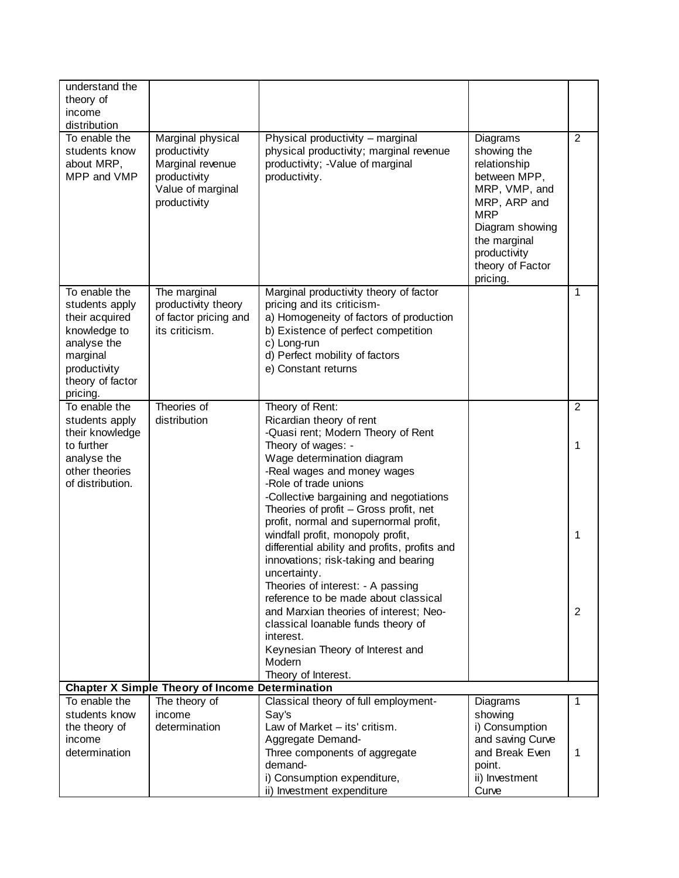| understand the<br>theory of<br>income<br>distribution                                                                                        |                                                                                                            |                                                                                                                                                                                                                                                                                                             |                                                                                                                                                                                           |                     |
|----------------------------------------------------------------------------------------------------------------------------------------------|------------------------------------------------------------------------------------------------------------|-------------------------------------------------------------------------------------------------------------------------------------------------------------------------------------------------------------------------------------------------------------------------------------------------------------|-------------------------------------------------------------------------------------------------------------------------------------------------------------------------------------------|---------------------|
| To enable the<br>students know<br>about MRP,<br>MPP and VMP                                                                                  | Marginal physical<br>productivity<br>Marginal revenue<br>productivity<br>Value of marginal<br>productivity | Physical productivity - marginal<br>physical productivity; marginal revenue<br>productivity; - Value of marginal<br>productivity.                                                                                                                                                                           | Diagrams<br>showing the<br>relationship<br>between MPP,<br>MRP, VMP, and<br>MRP, ARP and<br><b>MRP</b><br>Diagram showing<br>the marginal<br>productivity<br>theory of Factor<br>pricing. | $\overline{2}$      |
| To enable the<br>students apply<br>their acquired<br>knowledge to<br>analyse the<br>marginal<br>productivity<br>theory of factor<br>pricing. | The marginal<br>productivity theory<br>of factor pricing and<br>its criticism.                             | Marginal productivity theory of factor<br>pricing and its criticism-<br>a) Homogeneity of factors of production<br>b) Existence of perfect competition<br>c) Long-run<br>d) Perfect mobility of factors<br>e) Constant returns                                                                              |                                                                                                                                                                                           | 1                   |
| To enable the<br>students apply<br>their knowledge<br>to further<br>analyse the<br>other theories<br>of distribution.                        | Theories of<br>distribution                                                                                | Theory of Rent:<br>Ricardian theory of rent<br>-Quasi rent; Modern Theory of Rent<br>Theory of wages: -<br>Wage determination diagram<br>-Real wages and money wages<br>-Role of trade unions<br>-Collective bargaining and negotiations<br>Theories of profit - Gross profit, net                          |                                                                                                                                                                                           | $\overline{2}$<br>1 |
|                                                                                                                                              |                                                                                                            | profit, normal and supernormal profit,<br>windfall profit, monopoly profit,<br>differential ability and profits, profits and<br>innovations; risk-taking and bearing<br>uncertainty.<br>Theories of interest: - A passing<br>reference to be made about classical<br>and Marxian theories of interest; Neo- |                                                                                                                                                                                           | 1<br>2              |
|                                                                                                                                              |                                                                                                            | classical loanable funds theory of<br>interest.<br>Keynesian Theory of Interest and<br>Modern<br>Theory of Interest.                                                                                                                                                                                        |                                                                                                                                                                                           |                     |
|                                                                                                                                              | <b>Chapter X Simple Theory of Income Determination</b>                                                     |                                                                                                                                                                                                                                                                                                             |                                                                                                                                                                                           |                     |
| To enable the                                                                                                                                | The theory of                                                                                              | Classical theory of full employment-                                                                                                                                                                                                                                                                        | Diagrams                                                                                                                                                                                  | 1                   |
| students know<br>the theory of                                                                                                               | income<br>determination                                                                                    | Say's<br>Law of Market - its' critism.                                                                                                                                                                                                                                                                      | showing<br>i) Consumption                                                                                                                                                                 |                     |
| income                                                                                                                                       |                                                                                                            | Aggregate Demand-                                                                                                                                                                                                                                                                                           | and saving Curve                                                                                                                                                                          |                     |
| determination                                                                                                                                |                                                                                                            | Three components of aggregate                                                                                                                                                                                                                                                                               | and Break Even                                                                                                                                                                            | 1                   |
|                                                                                                                                              |                                                                                                            | demand-                                                                                                                                                                                                                                                                                                     | point.                                                                                                                                                                                    |                     |
|                                                                                                                                              |                                                                                                            | i) Consumption expenditure,                                                                                                                                                                                                                                                                                 | ii) Investment                                                                                                                                                                            |                     |
|                                                                                                                                              |                                                                                                            | ii) Investment expenditure                                                                                                                                                                                                                                                                                  | Curve                                                                                                                                                                                     |                     |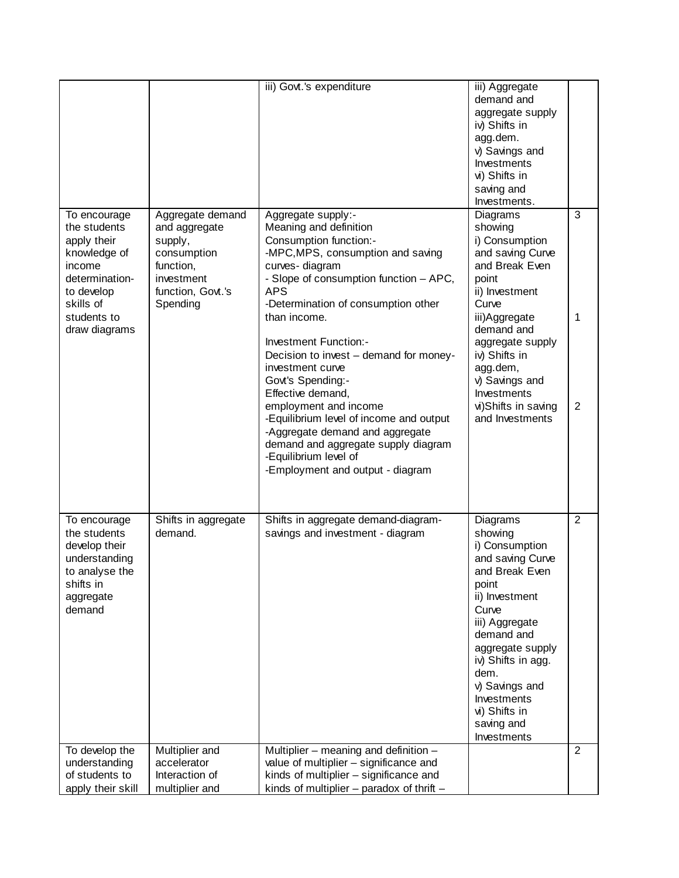|                                                                                                                                                    |                                                                                                                         | iii) Govt.'s expenditure                                                                                                                                                                                                                                                                                                                                                                                                                                                                                                                                                                 | iii) Aggregate<br>demand and<br>aggregate supply<br>iv) Shifts in<br>agg.dem.<br>v) Savings and<br>Investments<br>vi) Shifts in<br>saving and<br>Investments.                                                                                                                    |                |
|----------------------------------------------------------------------------------------------------------------------------------------------------|-------------------------------------------------------------------------------------------------------------------------|------------------------------------------------------------------------------------------------------------------------------------------------------------------------------------------------------------------------------------------------------------------------------------------------------------------------------------------------------------------------------------------------------------------------------------------------------------------------------------------------------------------------------------------------------------------------------------------|----------------------------------------------------------------------------------------------------------------------------------------------------------------------------------------------------------------------------------------------------------------------------------|----------------|
| To encourage<br>the students<br>apply their<br>knowledge of<br>income<br>determination-<br>to develop<br>skills of<br>students to<br>draw diagrams | Aggregate demand<br>and aggregate<br>supply,<br>consumption<br>function,<br>investment<br>function, Govt.'s<br>Spending | Aggregate supply:-<br>Meaning and definition<br>Consumption function:-<br>-MPC, MPS, consumption and saving<br>curves-diagram<br>- Slope of consumption function - APC,<br><b>APS</b><br>-Determination of consumption other<br>than income.<br>Investment Function:-<br>Decision to invest - demand for money-<br>investment curve<br>Govt's Spending:-<br>Effective demand,<br>employment and income<br>-Equilibrium level of income and output<br>-Aggregate demand and aggregate<br>demand and aggregate supply diagram<br>-Equilibrium level of<br>-Employment and output - diagram | Diagrams<br>showing<br>i) Consumption<br>and saving Curve<br>and Break Even<br>point<br>ii) Investment<br>Curve<br>iii)Aggregate<br>demand and<br>aggregate supply<br>iv) Shifts in<br>agg.dem,<br>v) Savings and<br>Investments<br>vi)Shifts in saving<br>and Investments       | 3<br>1<br>2    |
| To encourage<br>the students<br>develop their<br>understanding<br>to analyse the<br>shifts in<br>aggregate<br>demand                               | Shifts in aggregate<br>demand.                                                                                          | Shifts in aggregate demand-diagram-<br>savings and investment - diagram                                                                                                                                                                                                                                                                                                                                                                                                                                                                                                                  | Diagrams<br>showing<br>i) Consumption<br>and saving Curve<br>and Break Even<br>point<br>ii) Investment<br>Curve<br>iii) Aggregate<br>demand and<br>aggregate supply<br>iv) Shifts in agg.<br>dem.<br>v) Savings and<br>Investments<br>vi) Shifts in<br>saving and<br>Investments | $\overline{2}$ |
| To develop the<br>understanding<br>of students to<br>apply their skill                                                                             | Multiplier and<br>accelerator<br>Interaction of<br>multiplier and                                                       | Multiplier - meaning and definition -<br>value of multiplier - significance and<br>kinds of multiplier - significance and<br>kinds of multiplier - paradox of thrift -                                                                                                                                                                                                                                                                                                                                                                                                                   |                                                                                                                                                                                                                                                                                  | $\overline{2}$ |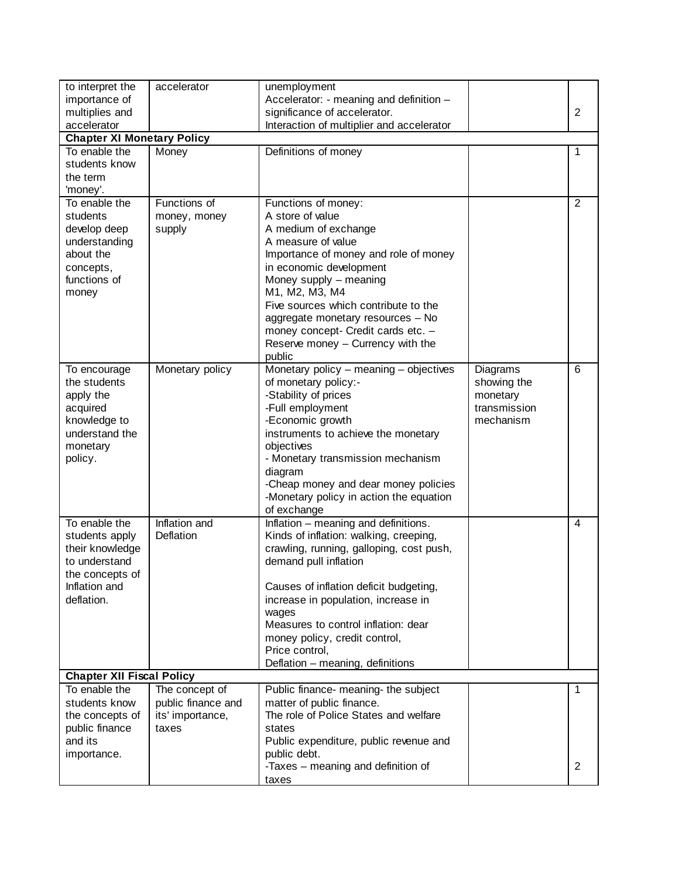| to interpret the                  | accelerator        | unemployment                                       |              |                |
|-----------------------------------|--------------------|----------------------------------------------------|--------------|----------------|
| importance of                     |                    | Accelerator: - meaning and definition -            |              |                |
| multiplies and                    |                    | significance of accelerator.                       |              | $\overline{2}$ |
| accelerator                       |                    | Interaction of multiplier and accelerator          |              |                |
| <b>Chapter XI Monetary Policy</b> |                    |                                                    |              |                |
| To enable the<br>students know    | Money              | Definitions of money                               |              | 1              |
| the term                          |                    |                                                    |              |                |
| 'money'.                          |                    |                                                    |              |                |
| To enable the                     | Functions of       | Functions of money:                                |              | $\overline{2}$ |
| students                          | money, money       | A store of value                                   |              |                |
| develop deep                      | supply             | A medium of exchange                               |              |                |
| understanding                     |                    | A measure of value                                 |              |                |
| about the                         |                    | Importance of money and role of money              |              |                |
| concepts,                         |                    | in economic development                            |              |                |
| functions of                      |                    | Money supply - meaning                             |              |                |
| money                             |                    | M1, M2, M3, M4                                     |              |                |
|                                   |                    | Five sources which contribute to the               |              |                |
|                                   |                    | aggregate monetary resources - No                  |              |                |
|                                   |                    | money concept- Credit cards etc. -                 |              |                |
|                                   |                    | Reserve money - Currency with the                  |              |                |
|                                   |                    | public                                             |              |                |
| To encourage                      | Monetary policy    | Monetary policy - meaning - objectives             | Diagrams     | 6              |
| the students                      |                    | of monetary policy:-                               | showing the  |                |
| apply the                         |                    | -Stability of prices                               | monetary     |                |
| acquired                          |                    | -Full employment                                   | transmission |                |
| knowledge to                      |                    | -Economic growth                                   | mechanism    |                |
| understand the                    |                    | instruments to achieve the monetary                |              |                |
| monetary                          |                    | objectives                                         |              |                |
| policy.                           |                    | - Monetary transmission mechanism                  |              |                |
|                                   |                    | diagram<br>-Cheap money and dear money policies    |              |                |
|                                   |                    | -Monetary policy in action the equation            |              |                |
|                                   |                    | of exchange                                        |              |                |
| To enable the                     | Inflation and      | Inflation - meaning and definitions.               |              | $\overline{4}$ |
| students apply                    | Deflation          | Kinds of inflation: walking, creeping,             |              |                |
| their knowledge                   |                    | crawling, running, galloping, cost push,           |              |                |
| to understand                     |                    | demand pull inflation                              |              |                |
| the concepts of                   |                    |                                                    |              |                |
| Inflation and                     |                    | Causes of inflation deficit budgeting,             |              |                |
| deflation.                        |                    | increase in population, increase in                |              |                |
|                                   |                    | wages                                              |              |                |
|                                   |                    | Measures to control inflation: dear                |              |                |
|                                   |                    | money policy, credit control,                      |              |                |
|                                   |                    | Price control,                                     |              |                |
|                                   |                    | Deflation - meaning, definitions                   |              |                |
| <b>Chapter XII Fiscal Policy</b>  |                    |                                                    |              |                |
| To enable the                     | The concept of     | Public finance- meaning- the subject               |              | 1              |
| students know                     | public finance and | matter of public finance.                          |              |                |
| the concepts of                   | its' importance,   | The role of Police States and welfare              |              |                |
| public finance                    | taxes              | states                                             |              |                |
| and its                           |                    | Public expenditure, public revenue and             |              |                |
| importance.                       |                    | public debt.<br>-Taxes - meaning and definition of |              | 2              |
|                                   |                    | taxes                                              |              |                |
|                                   |                    |                                                    |              |                |